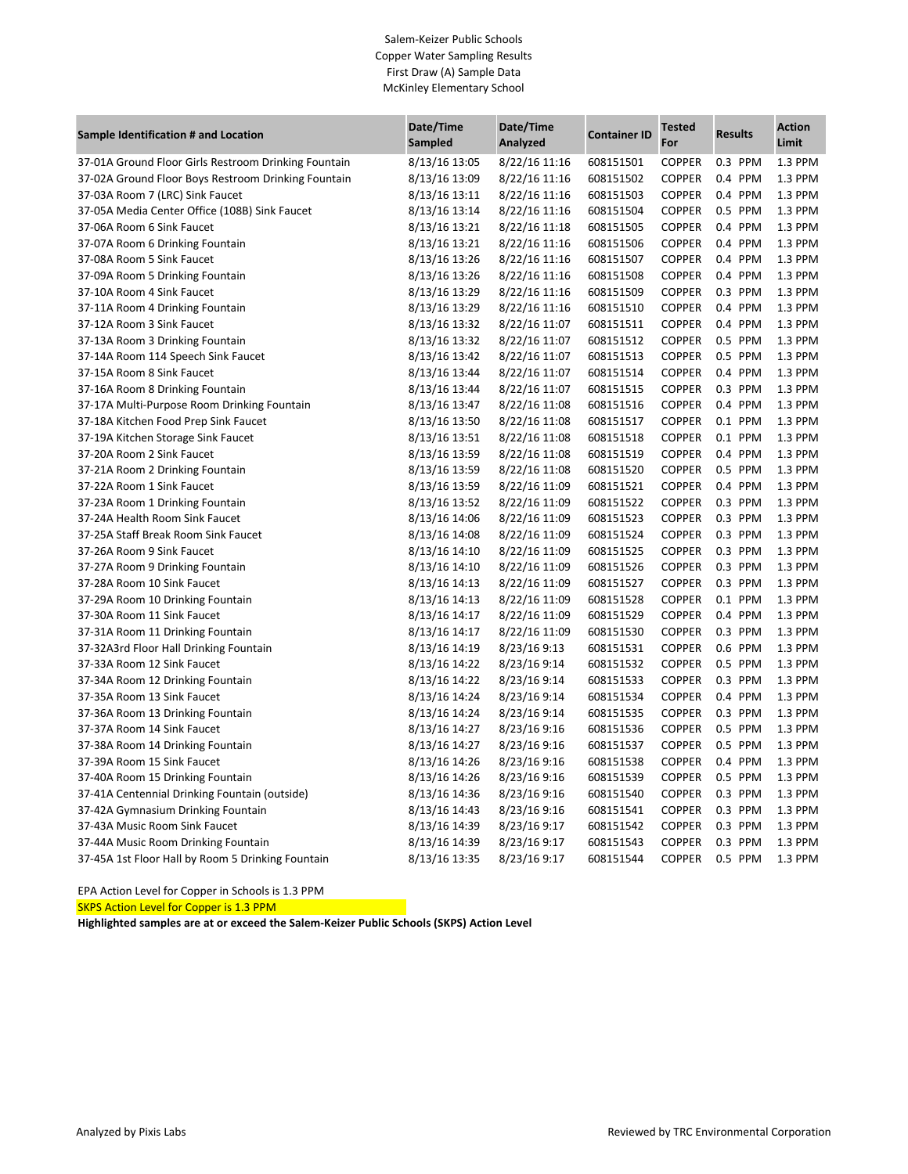## Salem-Keizer Public Schools Copper Water Sampling Results First Draw (A) Sample Data McKinley Elementary School

| Sample Identification # and Location                 | Date/Time<br><b>Sampled</b> | Date/Time<br>Analyzed | <b>Container ID</b> | <b>Tested</b><br>For | <b>Results</b> | <b>Action</b><br>Limit |
|------------------------------------------------------|-----------------------------|-----------------------|---------------------|----------------------|----------------|------------------------|
| 37-01A Ground Floor Girls Restroom Drinking Fountain | 8/13/16 13:05               | 8/22/16 11:16         | 608151501           | <b>COPPER</b>        | 0.3 PPM        | 1.3 PPM                |
| 37-02A Ground Floor Boys Restroom Drinking Fountain  | 8/13/16 13:09               | 8/22/16 11:16         | 608151502           | <b>COPPER</b>        | 0.4 PPM        | 1.3 PPM                |
| 37-03A Room 7 (LRC) Sink Faucet                      | 8/13/16 13:11               | 8/22/16 11:16         | 608151503           | <b>COPPER</b>        | 0.4 PPM        | 1.3 PPM                |
| 37-05A Media Center Office (108B) Sink Faucet        | 8/13/16 13:14               | 8/22/16 11:16         | 608151504           | COPPER               | 0.5 PPM        | 1.3 PPM                |
| 37-06A Room 6 Sink Faucet                            | 8/13/16 13:21               | 8/22/16 11:18         | 608151505           | <b>COPPER</b>        | 0.4 PPM        | 1.3 PPM                |
| 37-07A Room 6 Drinking Fountain                      | 8/13/16 13:21               | 8/22/16 11:16         | 608151506           | <b>COPPER</b>        | 0.4 PPM        | 1.3 PPM                |
| 37-08A Room 5 Sink Faucet                            | 8/13/16 13:26               | 8/22/16 11:16         | 608151507           | <b>COPPER</b>        | 0.4 PPM        | 1.3 PPM                |
| 37-09A Room 5 Drinking Fountain                      | 8/13/16 13:26               | 8/22/16 11:16         | 608151508           | <b>COPPER</b>        | 0.4 PPM        | 1.3 PPM                |
| 37-10A Room 4 Sink Faucet                            | 8/13/16 13:29               | 8/22/16 11:16         | 608151509           | COPPER               | 0.3 PPM        | 1.3 PPM                |
| 37-11A Room 4 Drinking Fountain                      | 8/13/16 13:29               | 8/22/16 11:16         | 608151510           | <b>COPPER</b>        | 0.4 PPM        | 1.3 PPM                |
| 37-12A Room 3 Sink Faucet                            | 8/13/16 13:32               | 8/22/16 11:07         | 608151511           | <b>COPPER</b>        | 0.4 PPM        | 1.3 PPM                |
| 37-13A Room 3 Drinking Fountain                      | 8/13/16 13:32               | 8/22/16 11:07         | 608151512           | <b>COPPER</b>        | 0.5 PPM        | 1.3 PPM                |
| 37-14A Room 114 Speech Sink Faucet                   | 8/13/16 13:42               | 8/22/16 11:07         | 608151513           | <b>COPPER</b>        | 0.5 PPM        | 1.3 PPM                |
| 37-15A Room 8 Sink Faucet                            | 8/13/16 13:44               | 8/22/16 11:07         | 608151514           | <b>COPPER</b>        | 0.4 PPM        | 1.3 PPM                |
| 37-16A Room 8 Drinking Fountain                      | 8/13/16 13:44               | 8/22/16 11:07         | 608151515           | <b>COPPER</b>        | 0.3 PPM        | 1.3 PPM                |
| 37-17A Multi-Purpose Room Drinking Fountain          | 8/13/16 13:47               | 8/22/16 11:08         | 608151516           | <b>COPPER</b>        | 0.4 PPM        | 1.3 PPM                |
| 37-18A Kitchen Food Prep Sink Faucet                 | 8/13/16 13:50               | 8/22/16 11:08         | 608151517           | <b>COPPER</b>        | 0.1 PPM        | 1.3 PPM                |
| 37-19A Kitchen Storage Sink Faucet                   | 8/13/16 13:51               | 8/22/16 11:08         | 608151518           | <b>COPPER</b>        | 0.1 PPM        | 1.3 PPM                |
| 37-20A Room 2 Sink Faucet                            | 8/13/16 13:59               | 8/22/16 11:08         | 608151519           | <b>COPPER</b>        | 0.4 PPM        | 1.3 PPM                |
| 37-21A Room 2 Drinking Fountain                      | 8/13/16 13:59               | 8/22/16 11:08         | 608151520           | <b>COPPER</b>        | 0.5 PPM        | 1.3 PPM                |
| 37-22A Room 1 Sink Faucet                            | 8/13/16 13:59               | 8/22/16 11:09         | 608151521           | <b>COPPER</b>        | 0.4 PPM        | 1.3 PPM                |
| 37-23A Room 1 Drinking Fountain                      | 8/13/16 13:52               | 8/22/16 11:09         | 608151522           | <b>COPPER</b>        | 0.3 PPM        | 1.3 PPM                |
| 37-24A Health Room Sink Faucet                       | 8/13/16 14:06               | 8/22/16 11:09         | 608151523           | <b>COPPER</b>        | 0.3 PPM        | $1.3$ PPM              |
| 37-25A Staff Break Room Sink Faucet                  | 8/13/16 14:08               | 8/22/16 11:09         | 608151524           | <b>COPPER</b>        | 0.3 PPM        | 1.3 PPM                |
| 37-26A Room 9 Sink Faucet                            | 8/13/16 14:10               | 8/22/16 11:09         | 608151525           | <b>COPPER</b>        | 0.3 PPM        | 1.3 PPM                |
| 37-27A Room 9 Drinking Fountain                      | 8/13/16 14:10               | 8/22/16 11:09         | 608151526           | <b>COPPER</b>        | 0.3 PPM        | 1.3 PPM                |
| 37-28A Room 10 Sink Faucet                           | 8/13/16 14:13               | 8/22/16 11:09         | 608151527           | <b>COPPER</b>        | 0.3 PPM        | 1.3 PPM                |
| 37-29A Room 10 Drinking Fountain                     | 8/13/16 14:13               | 8/22/16 11:09         | 608151528           | <b>COPPER</b>        | 0.1 PPM        | 1.3 PPM                |
| 37-30A Room 11 Sink Faucet                           | 8/13/16 14:17               | 8/22/16 11:09         | 608151529           | <b>COPPER</b>        | 0.4 PPM        | 1.3 PPM                |
| 37-31A Room 11 Drinking Fountain                     | 8/13/16 14:17               | 8/22/16 11:09         | 608151530           | <b>COPPER</b>        | 0.3 PPM        | 1.3 PPM                |
| 37-32A3rd Floor Hall Drinking Fountain               | 8/13/16 14:19               | 8/23/16 9:13          | 608151531           | <b>COPPER</b>        | 0.6 PPM        | 1.3 PPM                |
| 37-33A Room 12 Sink Faucet                           | 8/13/16 14:22               | 8/23/16 9:14          | 608151532           | <b>COPPER</b>        | 0.5 PPM        | 1.3 PPM                |
| 37-34A Room 12 Drinking Fountain                     | 8/13/16 14:22               | 8/23/16 9:14          | 608151533           | <b>COPPER</b>        | 0.3 PPM        | 1.3 PPM                |
| 37-35A Room 13 Sink Faucet                           | 8/13/16 14:24               | 8/23/16 9:14          | 608151534           | <b>COPPER</b>        | 0.4 PPM        | 1.3 PPM                |
| 37-36A Room 13 Drinking Fountain                     | 8/13/16 14:24               | 8/23/16 9:14          | 608151535           | <b>COPPER</b>        | 0.3 PPM        | 1.3 PPM                |
| 37-37A Room 14 Sink Faucet                           | 8/13/16 14:27               | 8/23/16 9:16          | 608151536           | <b>COPPER</b>        | 0.5 PPM        | 1.3 PPM                |
| 37-38A Room 14 Drinking Fountain                     | 8/13/16 14:27               | 8/23/16 9:16          | 608151537           | <b>COPPER</b>        | 0.5 PPM        | 1.3 PPM                |
| 37-39A Room 15 Sink Faucet                           | 8/13/16 14:26               | 8/23/16 9:16          | 608151538           | <b>COPPER</b>        | 0.4 PPM        | 1.3 PPM                |
| 37-40A Room 15 Drinking Fountain                     | 8/13/16 14:26               | 8/23/16 9:16          | 608151539           | <b>COPPER</b>        | 0.5 PPM        | 1.3 PPM                |
| 37-41A Centennial Drinking Fountain (outside)        | 8/13/16 14:36               | 8/23/16 9:16          | 608151540           | <b>COPPER</b>        | 0.3 PPM        | 1.3 PPM                |
| 37-42A Gymnasium Drinking Fountain                   | 8/13/16 14:43               | 8/23/16 9:16          | 608151541           | <b>COPPER</b>        | 0.3 PPM        | 1.3 PPM                |
| 37-43A Music Room Sink Faucet                        | 8/13/16 14:39               | 8/23/16 9:17          | 608151542           | <b>COPPER</b>        | 0.3 PPM        | 1.3 PPM                |
| 37-44A Music Room Drinking Fountain                  | 8/13/16 14:39               | 8/23/16 9:17          | 608151543           | <b>COPPER</b>        | 0.3 PPM        | 1.3 PPM                |
| 37-45A 1st Floor Hall by Room 5 Drinking Fountain    | 8/13/16 13:35               | 8/23/16 9:17          | 608151544           | <b>COPPER</b>        | 0.5 PPM        | 1.3 PPM                |

EPA Action Level for Copper in Schools is 1.3 PPM

**SKPS Action Level for Copper is 1.3 PPM** 

**Highlighted samples are at or exceed the Salem-Keizer Public Schools (SKPS) Action Level**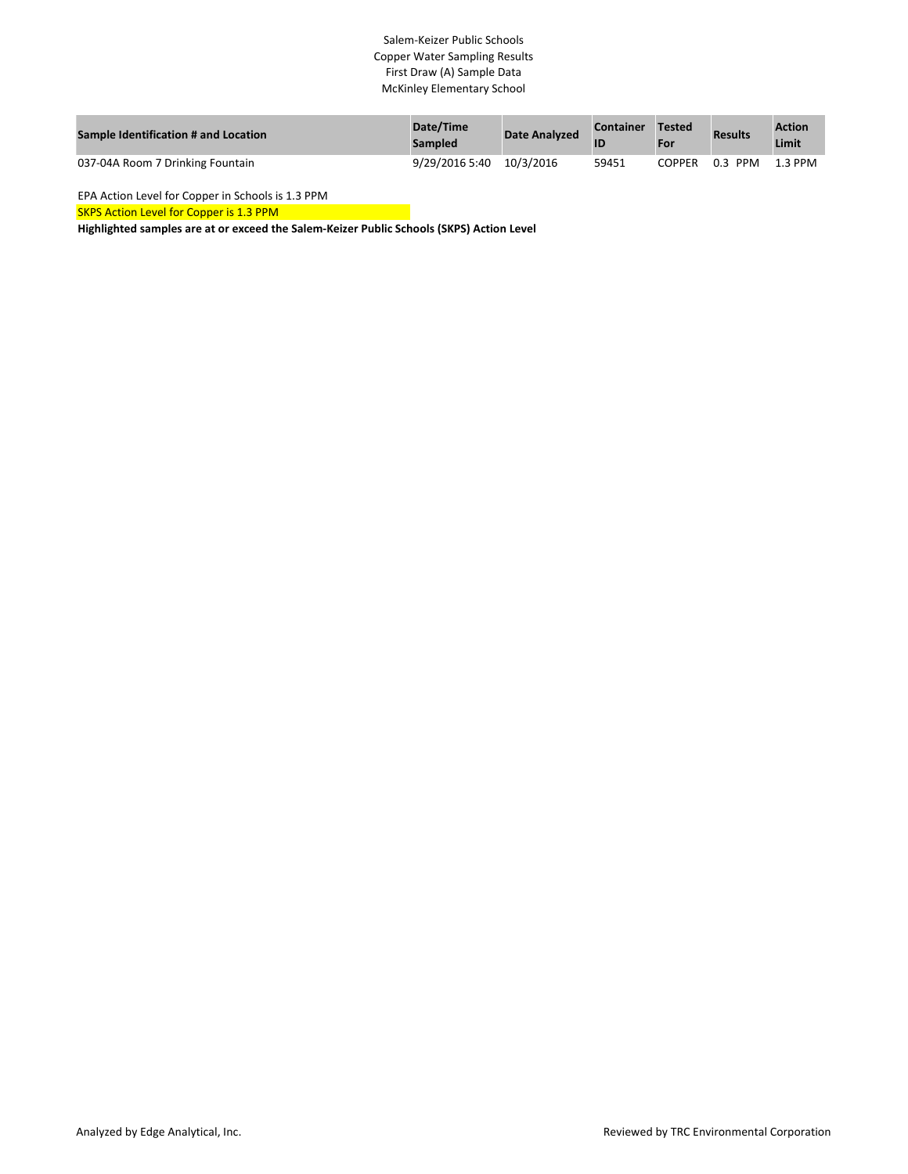## Salem-Keizer Public Schools Copper Water Sampling Results First Draw (A) Sample Data McKinley Elementary School

| <b>Sample Identification # and Location</b> | Date/Time<br><b>Sampled</b> | <b>Date Analyzed</b> | <b>Container</b> | Tested<br>For | <b>Results</b>    | <b>Action</b><br>Limit |
|---------------------------------------------|-----------------------------|----------------------|------------------|---------------|-------------------|------------------------|
| 037-04A Room 7 Drinking Fountain            | 9/29/2016 5:40              | 10/3/2016            | 59451            | <b>COPPER</b> | 0.3<br><b>PPM</b> | $1.3$ PPM              |

EPA Action Level for Copper in Schools is 1.3 PPM

SKPS Action Level for Copper is 1.3 PPM

**Highlighted samples are at or exceed the Salem-Keizer Public Schools (SKPS) Action Level**